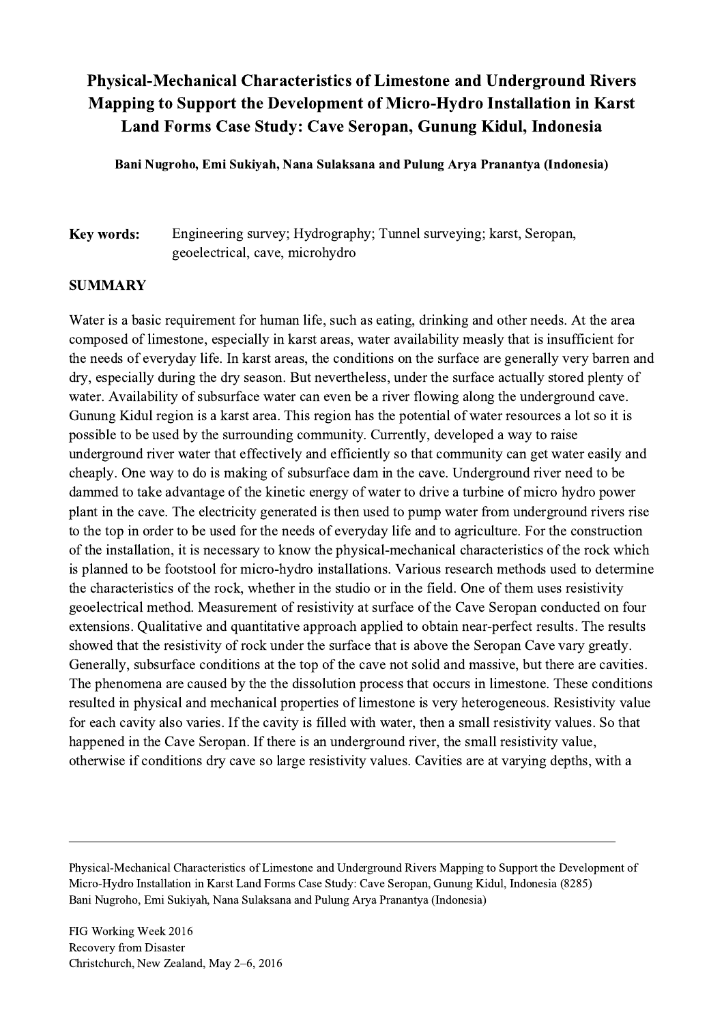## Physical-Mechanical Characteristics of Limestone and Underground Rivers Mapping to Support the Development of Micro-Hydro Installation in Karst Land Forms Case Study: Cave Seropan, Gunung Kidul, Indonesia

Bani Nugroho, Emi Sukiyah, Nana Sulaksana and Pulung Arya Pranantya (Indonesia)

Key words: Engineering survey; Hydrography; Tunnel surveying; karst, Seropan, geoelectrical, cave, microhydro

## SUMMARY

Water is a basic requirement for human life, such as eating, drinking and other needs. At the area composed of limestone, especially in karst areas, water availability measly that is insufficient for the needs of everyday life. In karst areas, the conditions on the surface are generally very barren and dry, especially during the dry season. But nevertheless, under the surface actually stored plenty of water. Availability of subsurface water can even be a river flowing along the underground cave. Gunung Kidul region is a karst area. This region has the potential of water resources a lot so it is possible to be used by the surrounding community. Currently, developed a way to raise underground river water that effectively and efficiently so that community can get water easily and cheaply. One way to do is making of subsurface dam in the cave. Underground river need to be dammed to take advantage of the kinetic energy of water to drive a turbine of micro hydro power plant in the cave. The electricity generated is then used to pump water from underground rivers rise to the top in order to be used for the needs of everyday life and to agriculture. For the construction of the installation, it is necessary to know the physical-mechanical characteristics of the rock which is planned to be footstool for micro-hydro installations. Various research methods used to determine the characteristics of the rock, whether in the studio or in the field. One of them uses resistivity geoelectrical method. Measurement of resistivity at surface of the Cave Seropan conducted on four extensions. Qualitative and quantitative approach applied to obtain near-perfect results. The results showed that the resistivity of rock under the surface that is above the Seropan Cave vary greatly. Generally, subsurface conditions at the top of the cave not solid and massive, but there are cavities. The phenomena are caused by the the dissolution process that occurs in limestone. These conditions resulted in physical and mechanical properties of limestone is very heterogeneous. Resistivity value for each cavity also varies. If the cavity is filled with water, then a small resistivity values. So that happened in the Cave Seropan. If there is an underground river, the small resistivity value, otherwise if conditions dry cave so large resistivity values. Cavities are at varying depths, with a

Physical-Mechanical Characteristics of Limestone and Underground Rivers Mapping to Support the Development of Micro-Hydro Installation in Karst Land Forms Case Study: Cave Seropan, Gunung Kidul, Indonesia (8285) Bani Nugroho, Emi Sukiyah, Nana Sulaksana and Pulung Arya Pranantya (Indonesia)

 $\mathcal{L}_\mathcal{L} = \{ \mathcal{L}_\mathcal{L} = \{ \mathcal{L}_\mathcal{L} = \{ \mathcal{L}_\mathcal{L} = \{ \mathcal{L}_\mathcal{L} = \{ \mathcal{L}_\mathcal{L} = \{ \mathcal{L}_\mathcal{L} = \{ \mathcal{L}_\mathcal{L} = \{ \mathcal{L}_\mathcal{L} = \{ \mathcal{L}_\mathcal{L} = \{ \mathcal{L}_\mathcal{L} = \{ \mathcal{L}_\mathcal{L} = \{ \mathcal{L}_\mathcal{L} = \{ \mathcal{L}_\mathcal{L} = \{ \mathcal{L}_\mathcal{$ 

FIG Working Week 2016 Recovery from Disaster Christchurch, New Zealand, May 2–6, 2016